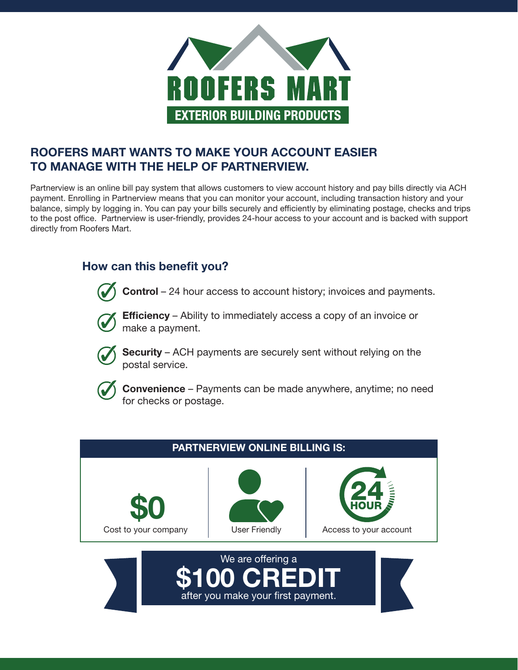

## ROOFERS MART WANTS TO MAKE YOUR ACCOUNT EASIER TO MANAGE WITH THE HELP OF PARTNERVIEW.

Partnerview is an online bill pay system that allows customers to view account history and pay bills directly via ACH payment. Enrolling in Partnerview means that you can monitor your account, including transaction history and your balance, simply by logging in. You can pay your bills securely and efficiently by eliminating postage, checks and trips to the post office. Partnerview is user-friendly, provides 24-hour access to your account and is backed with support directly from Roofers Mart.

## How can this benefit you?

Control – 24 hour access to account history; invoices and payments.



**Efficiency** – Ability to immediately access a copy of an invoice or make a payment.



Security - ACH payments are securely sent without relying on the postal service.



Convenience – Payments can be made anywhere, anytime; no need for checks or postage.